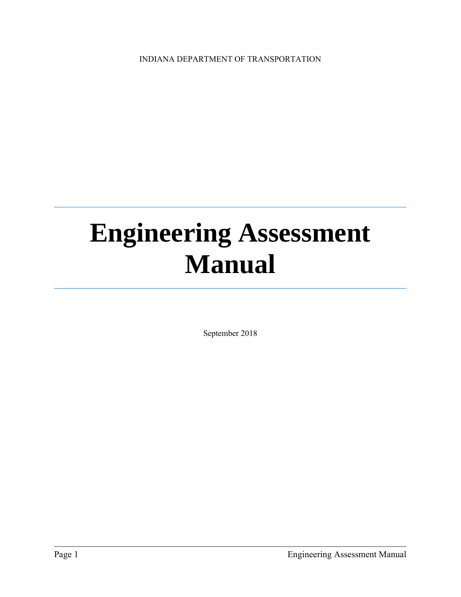INDIANA DEPARTMENT OF TRANSPORTATION

## **Engineering Assessment Manual**

September 2018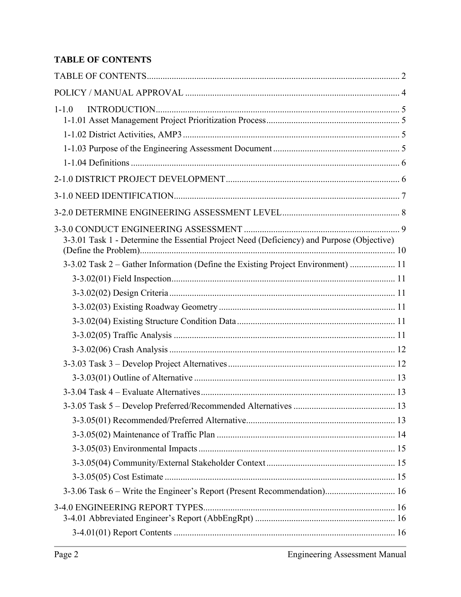#### **TABLE OF CONTENTS**

| $1 - 1.0$                                                                                 |  |
|-------------------------------------------------------------------------------------------|--|
|                                                                                           |  |
|                                                                                           |  |
|                                                                                           |  |
|                                                                                           |  |
|                                                                                           |  |
|                                                                                           |  |
|                                                                                           |  |
|                                                                                           |  |
| 3-3.01 Task 1 - Determine the Essential Project Need (Deficiency) and Purpose (Objective) |  |
| 3-3.02 Task 2 – Gather Information (Define the Existing Project Environment)  11          |  |
|                                                                                           |  |
|                                                                                           |  |
|                                                                                           |  |
|                                                                                           |  |
|                                                                                           |  |
|                                                                                           |  |
|                                                                                           |  |
|                                                                                           |  |
|                                                                                           |  |
|                                                                                           |  |
|                                                                                           |  |
|                                                                                           |  |
|                                                                                           |  |
|                                                                                           |  |
|                                                                                           |  |
| 3-3.06 Task 6 – Write the Engineer's Report (Present Recommendation) 16                   |  |
|                                                                                           |  |
|                                                                                           |  |
|                                                                                           |  |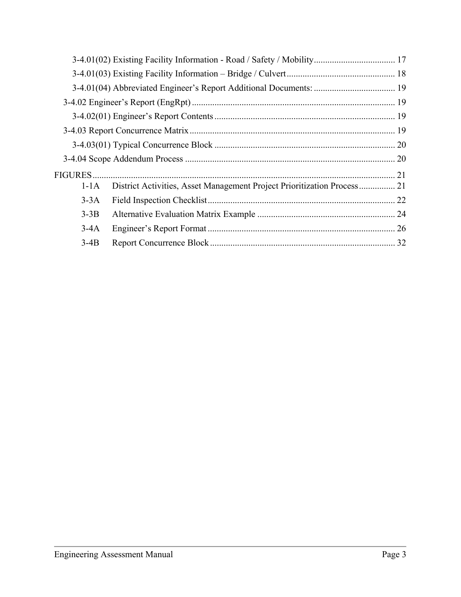| <b>FIGURES</b> |                                                                         | 21 |
|----------------|-------------------------------------------------------------------------|----|
| $1-1A$         | District Activities, Asset Management Project Prioritization Process 21 |    |
| $3-3A$         |                                                                         |    |
| $3-3B$         |                                                                         |    |
| $3-4A$         |                                                                         |    |
| $3-4B$         |                                                                         |    |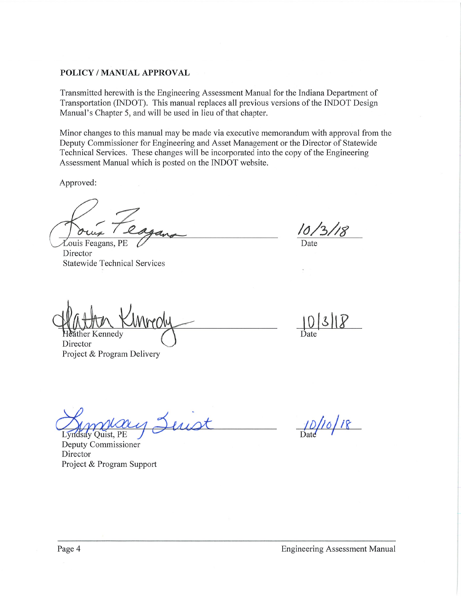#### POLICY / MANUAL APPROVAL

Transmitted herewith is the Engineering Assessment Manual for the Indiana Department of Transportation (INDOT). This manual replaces all previous versions of the INDOT Design Manual's Chapter 5, and will be used in lieu of that chapter.

Minor changes to this manual may be made via executive memorandum with approval from the Deputy Commissioner for Engineering and Asset Management or the Director of Statewide Technical Services. These changes will be incorporated into the copy of the Engineering Assessment Manual which is posted on the INDOT website.

Approved:

Louis Feagans, PE Director **Statewide Technical Services** 

Date

her Kennedv

Director Project & Program Delivery

Lyndsay Quist, PE

Deputy Commissioner Director Project & Program Support

 $1/0/18$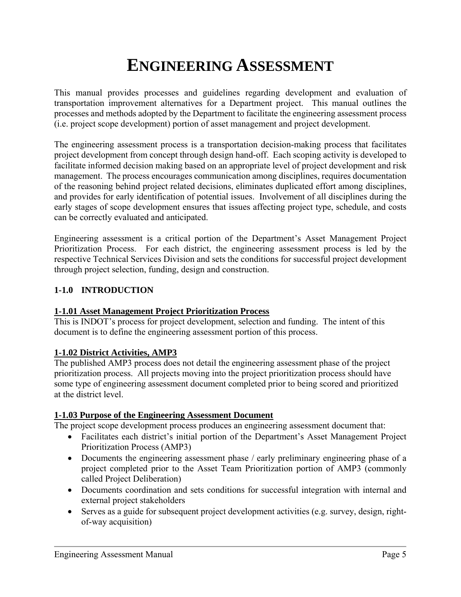### **ENGINEERING ASSESSMENT**

This manual provides processes and guidelines regarding development and evaluation of transportation improvement alternatives for a Department project. This manual outlines the processes and methods adopted by the Department to facilitate the engineering assessment process (i.e. project scope development) portion of asset management and project development.

The engineering assessment process is a transportation decision-making process that facilitates project development from concept through design hand-off. Each scoping activity is developed to facilitate informed decision making based on an appropriate level of project development and risk management. The process encourages communication among disciplines, requires documentation of the reasoning behind project related decisions, eliminates duplicated effort among disciplines, and provides for early identification of potential issues. Involvement of all disciplines during the early stages of scope development ensures that issues affecting project type, schedule, and costs can be correctly evaluated and anticipated.

Engineering assessment is a critical portion of the Department's Asset Management Project Prioritization Process. For each district, the engineering assessment process is led by the respective Technical Services Division and sets the conditions for successful project development through project selection, funding, design and construction.

#### **1-1.0 INTRODUCTION**

#### **1-1.01 Asset Management Project Prioritization Process**

This is INDOT's process for project development, selection and funding. The intent of this document is to define the engineering assessment portion of this process.

#### **1-1.02 District Activities, AMP3**

The published AMP3 process does not detail the engineering assessment phase of the project prioritization process. All projects moving into the project prioritization process should have some type of engineering assessment document completed prior to being scored and prioritized at the district level.

#### **1-1.03 Purpose of the Engineering Assessment Document**

The project scope development process produces an engineering assessment document that:

- Facilitates each district's initial portion of the Department's Asset Management Project Prioritization Process (AMP3)
- Documents the engineering assessment phase / early preliminary engineering phase of a project completed prior to the Asset Team Prioritization portion of AMP3 (commonly called Project Deliberation)
- Documents coordination and sets conditions for successful integration with internal and external project stakeholders
- Serves as a guide for subsequent project development activities (e.g. survey, design, rightof-way acquisition)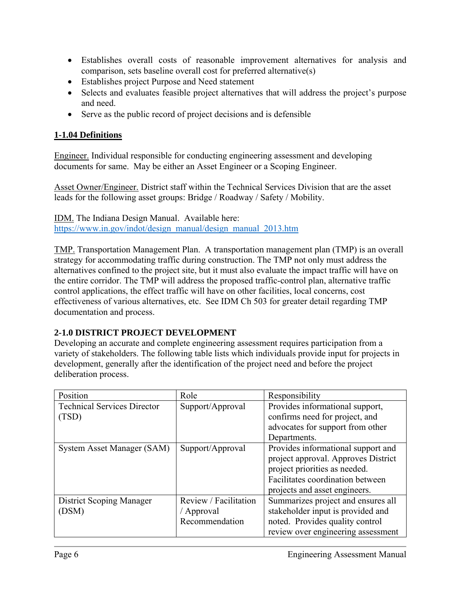- Establishes overall costs of reasonable improvement alternatives for analysis and comparison, sets baseline overall cost for preferred alternative(s)
- Establishes project Purpose and Need statement
- Selects and evaluates feasible project alternatives that will address the project's purpose and need.
- Serve as the public record of project decisions and is defensible

#### **1-1.04 Definitions**

Engineer. Individual responsible for conducting engineering assessment and developing documents for same. May be either an Asset Engineer or a Scoping Engineer.

Asset Owner/Engineer. District staff within the Technical Services Division that are the asset leads for the following asset groups: Bridge / Roadway / Safety / Mobility.

IDM. The Indiana Design Manual. Available here: https://www.in.gov/indot/design\_manual/design\_manual\_2013.htm

TMP. Transportation Management Plan. A transportation management plan (TMP) is an overall strategy for accommodating traffic during construction. The TMP not only must address the alternatives confined to the project site, but it must also evaluate the impact traffic will have on the entire corridor. The TMP will address the proposed traffic-control plan, alternative traffic control applications, the effect traffic will have on other facilities, local concerns, cost effectiveness of various alternatives, etc. See IDM Ch 503 for greater detail regarding TMP documentation and process.

#### **2-1.0 DISTRICT PROJECT DEVELOPMENT**

Developing an accurate and complete engineering assessment requires participation from a variety of stakeholders. The following table lists which individuals provide input for projects in development, generally after the identification of the project need and before the project deliberation process.

| Position                           | Role                  | Responsibility                      |
|------------------------------------|-----------------------|-------------------------------------|
| <b>Technical Services Director</b> | Support/Approval      | Provides informational support,     |
| (TSD)                              |                       | confirms need for project, and      |
|                                    |                       | advocates for support from other    |
|                                    |                       | Departments.                        |
| System Asset Manager (SAM)         | Support/Approval      | Provides informational support and  |
|                                    |                       | project approval. Approves District |
|                                    |                       | project priorities as needed.       |
|                                    |                       | Facilitates coordination between    |
|                                    |                       | projects and asset engineers.       |
| <b>District Scoping Manager</b>    | Review / Facilitation | Summarizes project and ensures all  |
| (DSM)                              | / Approval            | stakeholder input is provided and   |
|                                    | Recommendation        | noted. Provides quality control     |
|                                    |                       | review over engineering assessment  |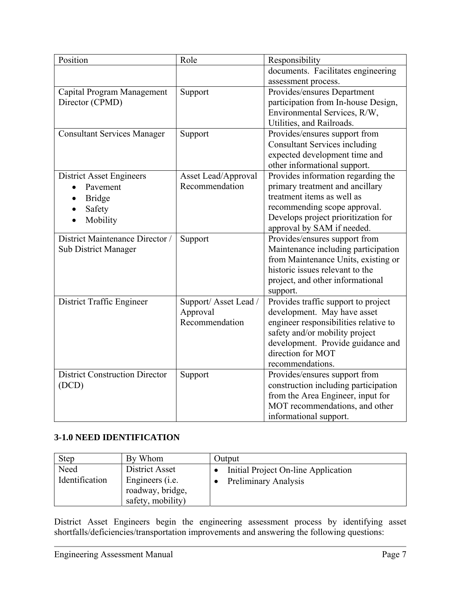| Position                              | Role                | Responsibility                        |
|---------------------------------------|---------------------|---------------------------------------|
|                                       |                     | documents. Facilitates engineering    |
|                                       |                     | assessment process.                   |
| Capital Program Management            | Support             | Provides/ensures Department           |
| Director (CPMD)                       |                     | participation from In-house Design,   |
|                                       |                     | Environmental Services, R/W,          |
|                                       |                     | Utilities, and Railroads.             |
| <b>Consultant Services Manager</b>    | Support             | Provides/ensures support from         |
|                                       |                     | <b>Consultant Services including</b>  |
|                                       |                     | expected development time and         |
|                                       |                     | other informational support.          |
| <b>District Asset Engineers</b>       | Asset Lead/Approval | Provides information regarding the    |
| Pavement                              | Recommendation      | primary treatment and ancillary       |
| <b>Bridge</b>                         |                     | treatment items as well as            |
| Safety                                |                     | recommending scope approval.          |
| Mobility                              |                     | Develops project prioritization for   |
|                                       |                     | approval by SAM if needed.            |
| District Maintenance Director /       | Support             | Provides/ensures support from         |
| <b>Sub District Manager</b>           |                     | Maintenance including participation   |
|                                       |                     | from Maintenance Units, existing or   |
|                                       |                     | historic issues relevant to the       |
|                                       |                     | project, and other informational      |
|                                       |                     | support.                              |
| District Traffic Engineer             | Support/Asset Lead/ | Provides traffic support to project   |
|                                       | Approval            | development. May have asset           |
|                                       | Recommendation      | engineer responsibilities relative to |
|                                       |                     | safety and/or mobility project        |
|                                       |                     | development. Provide guidance and     |
|                                       |                     | direction for MOT                     |
|                                       |                     | recommendations.                      |
| <b>District Construction Director</b> | Support             | Provides/ensures support from         |
| (DCD)                                 |                     | construction including participation  |
|                                       |                     | from the Area Engineer, input for     |
|                                       |                     | MOT recommendations, and other        |
|                                       |                     | informational support.                |

#### **3-1.0 NEED IDENTIFICATION**

| <b>Step</b>            | By Whom                                                                            | Output                                                             |
|------------------------|------------------------------------------------------------------------------------|--------------------------------------------------------------------|
| Need<br>Identification | District Asset<br>Engineers ( <i>i.e.</i><br>roadway, bridge,<br>safety, mobility) | Initial Project On-line Application<br><b>Preliminary Analysis</b> |

District Asset Engineers begin the engineering assessment process by identifying asset shortfalls/deficiencies/transportation improvements and answering the following questions: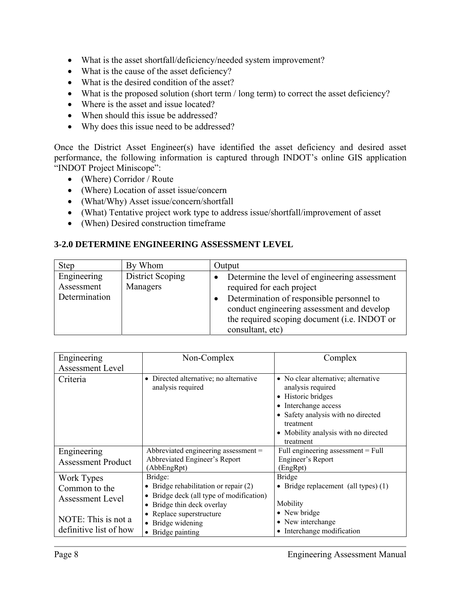- What is the asset shortfall/deficiency/needed system improvement?
- What is the cause of the asset deficiency?
- What is the desired condition of the asset?
- What is the proposed solution (short term / long term) to correct the asset deficiency?
- Where is the asset and issue located?
- When should this issue be addressed?
- Why does this issue need to be addressed?

Once the District Asset Engineer(s) have identified the asset deficiency and desired asset performance, the following information is captured through INDOT's online GIS application "INDOT Project Miniscope":

- (Where) Corridor / Route
- (Where) Location of asset issue/concern
- (What/Why) Asset issue/concern/shortfall
- (What) Tentative project work type to address issue/shortfall/improvement of asset
- (When) Desired construction timeframe

#### **3-2.0 DETERMINE ENGINEERING ASSESSMENT LEVEL**

| <b>Step</b>                                | By Whom                             | Output                                                                                                                                                                                                                                    |
|--------------------------------------------|-------------------------------------|-------------------------------------------------------------------------------------------------------------------------------------------------------------------------------------------------------------------------------------------|
| Engineering<br>Assessment<br>Determination | <b>District Scoping</b><br>Managers | Determine the level of engineering assessment<br>required for each project<br>Determination of responsible personnel to<br>conduct engineering assessment and develop<br>the required scoping document (i.e. INDOT or<br>consultant, etc) |

| Engineering               | Non-Complex                                                            | Complex                                                                                                                                                                                                             |
|---------------------------|------------------------------------------------------------------------|---------------------------------------------------------------------------------------------------------------------------------------------------------------------------------------------------------------------|
| Assessment Level          |                                                                        |                                                                                                                                                                                                                     |
| Criteria                  | Directed alternative; no alternative<br>$\bullet$<br>analysis required | • No clear alternative; alternative<br>analysis required<br>Historic bridges<br>Interchange access<br>$\bullet$<br>Safety analysis with no directed<br>treatment<br>Mobility analysis with no directed<br>treatment |
| Engineering               | Abbreviated engineering assessment =                                   | Full engineering assessment $=$ Full                                                                                                                                                                                |
| <b>Assessment Product</b> | Abbreviated Engineer's Report<br>(AbbEngRpt)                           | Engineer's Report<br>(EngRpt)                                                                                                                                                                                       |
| Work Types                | Bridge:                                                                | <b>Bridge</b>                                                                                                                                                                                                       |
| Common to the             | • Bridge rehabilitation or repair $(2)$                                | Bridge replacement (all types) (1)<br>$\bullet$                                                                                                                                                                     |
| Assessment Level          | Bridge deck (all type of modification)<br>٠                            |                                                                                                                                                                                                                     |
|                           | Bridge thin deck overlay<br>٠                                          | Mobility                                                                                                                                                                                                            |
|                           | Replace superstructure                                                 | New bridge<br>$\bullet$                                                                                                                                                                                             |
| NOTE: This is not a       | Bridge widening                                                        | • New interchange                                                                                                                                                                                                   |
| definitive list of how    | • Bridge painting                                                      | Interchange modification<br>$\bullet$                                                                                                                                                                               |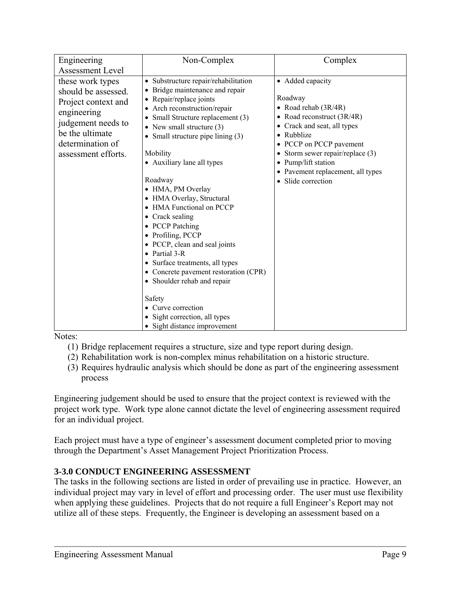| Engineering<br><b>Assessment Level</b>                                                                                                                            | Non-Complex                                                                                                                                                                                                                                                                                                                                                                                                                                                                                                                                                                                                                                                                                           | Complex                                                                                                                                                                                                                                                                                           |
|-------------------------------------------------------------------------------------------------------------------------------------------------------------------|-------------------------------------------------------------------------------------------------------------------------------------------------------------------------------------------------------------------------------------------------------------------------------------------------------------------------------------------------------------------------------------------------------------------------------------------------------------------------------------------------------------------------------------------------------------------------------------------------------------------------------------------------------------------------------------------------------|---------------------------------------------------------------------------------------------------------------------------------------------------------------------------------------------------------------------------------------------------------------------------------------------------|
| these work types<br>should be assessed.<br>Project context and<br>engineering<br>judgement needs to<br>be the ultimate<br>determination of<br>assessment efforts. | · Substructure repair/rehabilitation<br>Bridge maintenance and repair<br>• Repair/replace joints<br>• Arch reconstruction/repair<br>Small Structure replacement (3)<br>• New small structure $(3)$<br>• Small structure pipe lining $(3)$<br>Mobility<br>• Auxiliary lane all types<br>Roadway<br>• HMA, PM Overlay<br>• HMA Overlay, Structural<br>• HMA Functional on PCCP<br>• Crack sealing<br>• PCCP Patching<br>• Profiling, PCCP<br>• PCCP, clean and seal joints<br>• Partial $3-R$<br>• Surface treatments, all types<br>• Concrete pavement restoration (CPR)<br>• Shoulder rehab and repair<br>Safety<br>• Curve correction<br>Sight correction, all types<br>• Sight distance improvement | • Added capacity<br>Roadway<br>• Road rehab $(3R/4R)$<br>• Road reconstruct $(3R/4R)$<br>Crack and seat, all types<br>Rubblize<br>PCCP on PCCP pavement<br>$\bullet$<br>Storm sewer repair/replace (3)<br>Pump/lift station<br>$\bullet$<br>Pavement replacement, all types<br>• Slide correction |

Notes:

- (1) Bridge replacement requires a structure, size and type report during design.
- (2) Rehabilitation work is non-complex minus rehabilitation on a historic structure.
- (3) Requires hydraulic analysis which should be done as part of the engineering assessment process

Engineering judgement should be used to ensure that the project context is reviewed with the project work type. Work type alone cannot dictate the level of engineering assessment required for an individual project.

Each project must have a type of engineer's assessment document completed prior to moving through the Department's Asset Management Project Prioritization Process.

#### **3-3.0 CONDUCT ENGINEERING ASSESSMENT**

The tasks in the following sections are listed in order of prevailing use in practice. However, an individual project may vary in level of effort and processing order. The user must use flexibility when applying these guidelines. Projects that do not require a full Engineer's Report may not utilize all of these steps. Frequently, the Engineer is developing an assessment based on a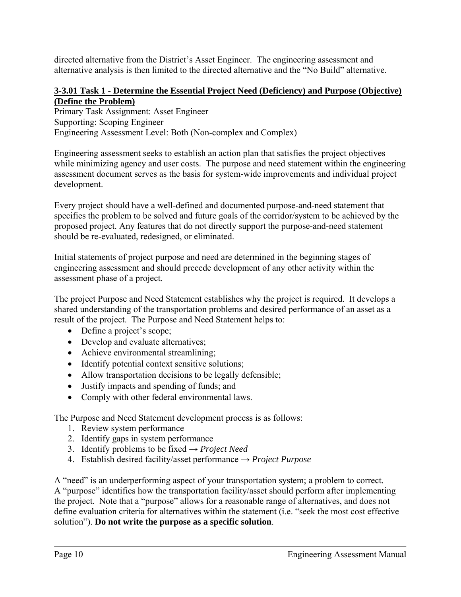directed alternative from the District's Asset Engineer. The engineering assessment and alternative analysis is then limited to the directed alternative and the "No Build" alternative.

#### **3-3.01 Task 1 - Determine the Essential Project Need (Deficiency) and Purpose (Objective) (Define the Problem)**

Primary Task Assignment: Asset Engineer Supporting: Scoping Engineer Engineering Assessment Level: Both (Non-complex and Complex)

Engineering assessment seeks to establish an action plan that satisfies the project objectives while minimizing agency and user costs. The purpose and need statement within the engineering assessment document serves as the basis for system-wide improvements and individual project development.

Every project should have a well-defined and documented purpose-and-need statement that specifies the problem to be solved and future goals of the corridor/system to be achieved by the proposed project. Any features that do not directly support the purpose-and-need statement should be re-evaluated, redesigned, or eliminated.

Initial statements of project purpose and need are determined in the beginning stages of engineering assessment and should precede development of any other activity within the assessment phase of a project.

The project Purpose and Need Statement establishes why the project is required. It develops a shared understanding of the transportation problems and desired performance of an asset as a result of the project. The Purpose and Need Statement helps to:

- Define a project's scope;
- Develop and evaluate alternatives;
- Achieve environmental streamlining;
- Identify potential context sensitive solutions;
- Allow transportation decisions to be legally defensible;
- Justify impacts and spending of funds; and
- Comply with other federal environmental laws.

The Purpose and Need Statement development process is as follows:

- 1. Review system performance
- 2. Identify gaps in system performance
- 3. Identify problems to be fixed  $\rightarrow$  *Project Need*
- 4. Establish desired facility/asset performance → *Project Purpose*

A "need" is an underperforming aspect of your transportation system; a problem to correct. A "purpose" identifies how the transportation facility/asset should perform after implementing the project. Note that a "purpose" allows for a reasonable range of alternatives, and does not define evaluation criteria for alternatives within the statement (i.e. "seek the most cost effective solution"). **Do not write the purpose as a specific solution**.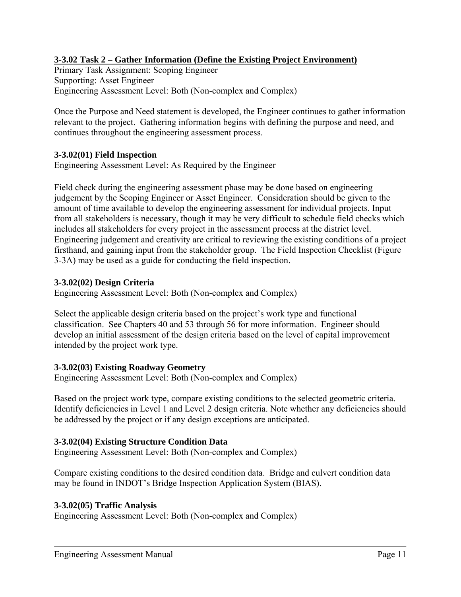#### **3-3.02 Task 2 – Gather Information (Define the Existing Project Environment)**

Primary Task Assignment: Scoping Engineer Supporting: Asset Engineer Engineering Assessment Level: Both (Non-complex and Complex)

Once the Purpose and Need statement is developed, the Engineer continues to gather information relevant to the project. Gathering information begins with defining the purpose and need, and continues throughout the engineering assessment process.

#### **3-3.02(01) Field Inspection**

Engineering Assessment Level: As Required by the Engineer

Field check during the engineering assessment phase may be done based on engineering judgement by the Scoping Engineer or Asset Engineer. Consideration should be given to the amount of time available to develop the engineering assessment for individual projects. Input from all stakeholders is necessary, though it may be very difficult to schedule field checks which includes all stakeholders for every project in the assessment process at the district level. Engineering judgement and creativity are critical to reviewing the existing conditions of a project firsthand, and gaining input from the stakeholder group. The Field Inspection Checklist (Figure 3-3A) may be used as a guide for conducting the field inspection.

#### **3-3.02(02) Design Criteria**

Engineering Assessment Level: Both (Non-complex and Complex)

Select the applicable design criteria based on the project's work type and functional classification. See Chapters 40 and 53 through 56 for more information. Engineer should develop an initial assessment of the design criteria based on the level of capital improvement intended by the project work type.

#### **3-3.02(03) Existing Roadway Geometry**

Engineering Assessment Level: Both (Non-complex and Complex)

Based on the project work type, compare existing conditions to the selected geometric criteria. Identify deficiencies in Level 1 and Level 2 design criteria. Note whether any deficiencies should be addressed by the project or if any design exceptions are anticipated.

#### **3-3.02(04) Existing Structure Condition Data**

Engineering Assessment Level: Both (Non-complex and Complex)

Compare existing conditions to the desired condition data. Bridge and culvert condition data may be found in INDOT's Bridge Inspection Application System (BIAS).

#### **3-3.02(05) Traffic Analysis**

Engineering Assessment Level: Both (Non-complex and Complex)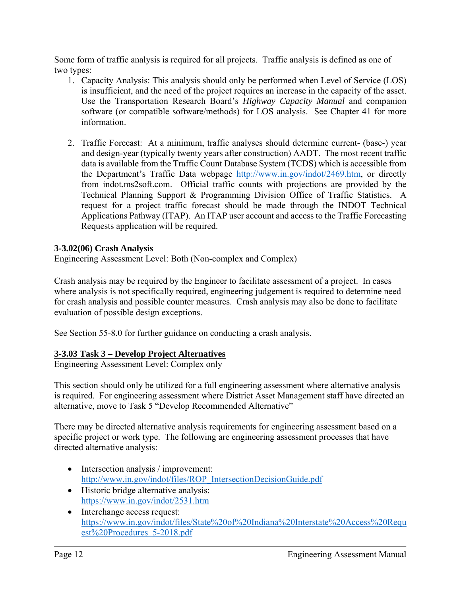Some form of traffic analysis is required for all projects. Traffic analysis is defined as one of two types:

- 1. Capacity Analysis: This analysis should only be performed when Level of Service (LOS) is insufficient, and the need of the project requires an increase in the capacity of the asset. Use the Transportation Research Board's *Highway Capacity Manual* and companion software (or compatible software/methods) for LOS analysis. See Chapter 41 for more information.
- 2. Traffic Forecast: At a minimum, traffic analyses should determine current- (base-) year and design-year (typically twenty years after construction) AADT. The most recent traffic data is available from the Traffic Count Database System (TCDS) which is accessible from the Department's Traffic Data webpage http://www.in.gov/indot/2469.htm, or directly from indot.ms2soft.com. Official traffic counts with projections are provided by the Technical Planning Support & Programming Division Office of Traffic Statistics. A request for a project traffic forecast should be made through the INDOT Technical Applications Pathway (ITAP). An ITAP user account and access to the Traffic Forecasting Requests application will be required.

#### **3-3.02(06) Crash Analysis**

Engineering Assessment Level: Both (Non-complex and Complex)

Crash analysis may be required by the Engineer to facilitate assessment of a project. In cases where analysis is not specifically required, engineering judgement is required to determine need for crash analysis and possible counter measures. Crash analysis may also be done to facilitate evaluation of possible design exceptions.

See Section 55-8.0 for further guidance on conducting a crash analysis.

#### **3-3.03 Task 3 – Develop Project Alternatives**

Engineering Assessment Level: Complex only

This section should only be utilized for a full engineering assessment where alternative analysis is required. For engineering assessment where District Asset Management staff have directed an alternative, move to Task 5 "Develop Recommended Alternative"

There may be directed alternative analysis requirements for engineering assessment based on a specific project or work type. The following are engineering assessment processes that have directed alternative analysis:

- Intersection analysis / improvement: http://www.in.gov/indot/files/ROP\_IntersectionDecisionGuide.pdf
- Historic bridge alternative analysis: https://www.in.gov/indot/2531.htm
- Interchange access request: https://www.in.gov/indot/files/State%20of%20Indiana%20Interstate%20Access%20Requ est%20Procedures\_5-2018.pdf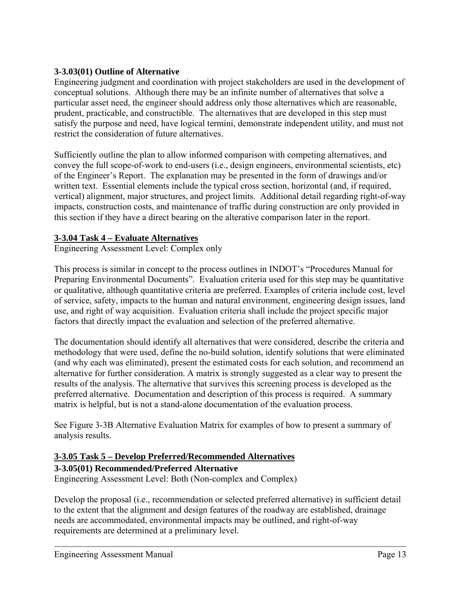#### **3-3.03(01) Outline of Alternative**

Engineering judgment and coordination with project stakeholders are used in the development of conceptual solutions. Although there may be an infinite number of alternatives that solve a particular asset need, the engineer should address only those alternatives which are reasonable, prudent, practicable, and constructible. The alternatives that are developed in this step must satisfy the purpose and need, have logical termini, demonstrate independent utility, and must not restrict the consideration of future alternatives.

Sufficiently outline the plan to allow informed comparison with competing alternatives, and convey the full scope-of-work to end-users (i.e., design engineers, environmental scientists, etc) of the Engineer's Report. The explanation may be presented in the form of drawings and/or written text. Essential elements include the typical cross section, horizontal (and, if required, vertical) alignment, major structures, and project limits. Additional detail regarding right-of-way impacts, construction costs, and maintenance of traffic during construction are only provided in this section if they have a direct bearing on the alterative comparison later in the report.

#### **3-3.04 Task 4 – Evaluate Alternatives**

Engineering Assessment Level: Complex only

This process is similar in concept to the process outlines in INDOT's "Procedures Manual for Preparing Environmental Documents". Evaluation criteria used for this step may be quantitative or qualitative, although quantitative criteria are preferred. Examples of criteria include cost, level of service, safety, impacts to the human and natural environment, engineering design issues, land use, and right of way acquisition. Evaluation criteria shall include the project specific major factors that directly impact the evaluation and selection of the preferred alternative.

The documentation should identify all alternatives that were considered, describe the criteria and methodology that were used, define the no-build solution, identify solutions that were eliminated (and why each was eliminated), present the estimated costs for each solution, and recommend an alternative for further consideration. A matrix is strongly suggested as a clear way to present the results of the analysis. The alternative that survives this screening process is developed as the preferred alternative. Documentation and description of this process is required. A summary matrix is helpful, but is not a stand-alone documentation of the evaluation process.

See Figure 3-3B Alternative Evaluation Matrix for examples of how to present a summary of analysis results.

#### **3-3.05 Task 5 – Develop Preferred/Recommended Alternatives**

#### **3-3.05(01) Recommended/Preferred Alternative**

Engineering Assessment Level: Both (Non-complex and Complex)

Develop the proposal (i.e., recommendation or selected preferred alternative) in sufficient detail to the extent that the alignment and design features of the roadway are established, drainage needs are accommodated, environmental impacts may be outlined, and right-of-way requirements are determined at a preliminary level.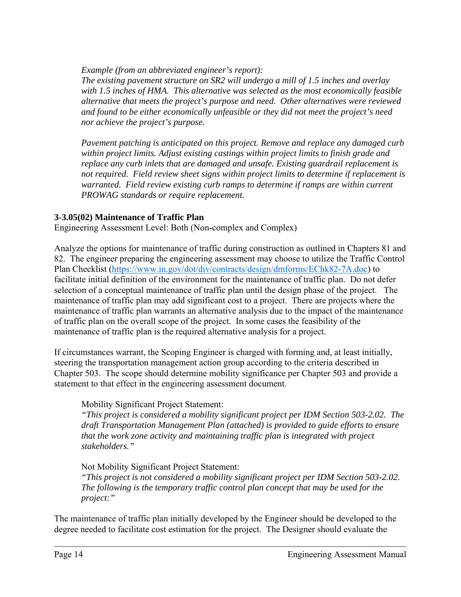*Example (from an abbreviated engineer's report):* 

*The existing pavement structure on SR2 will undergo a mill of 1.5 inches and overlay with 1.5 inches of HMA. This alternative was selected as the most economically feasible alternative that meets the project's purpose and need. Other alternatives were reviewed and found to be either economically unfeasible or they did not meet the project's need nor achieve the project's purpose.* 

*Pavement patching is anticipated on this project. Remove and replace any damaged curb within project limits. Adjust existing castings within project limits to finish grade and replace any curb inlets that are damaged and unsafe. Existing guardrail replacement is not required. Field review sheet signs within project limits to determine if replacement is warranted. Field review existing curb ramps to determine if ramps are within current PROWAG standards or require replacement.* 

#### **3-3.05(02) Maintenance of Traffic Plan**

Engineering Assessment Level: Both (Non-complex and Complex)

Analyze the options for maintenance of traffic during construction as outlined in Chapters 81 and 82. The engineer preparing the engineering assessment may choose to utilize the Traffic Control Plan Checklist (https://www.in.gov/dot/div/contracts/design/dmforms/EChk82-7A.doc) to facilitate initial definition of the environment for the maintenance of traffic plan. Do not defer selection of a conceptual maintenance of traffic plan until the design phase of the project. The maintenance of traffic plan may add significant cost to a project. There are projects where the maintenance of traffic plan warrants an alternative analysis due to the impact of the maintenance of traffic plan on the overall scope of the project. In some cases the feasibility of the maintenance of traffic plan is the required alternative analysis for a project.

If circumstances warrant, the Scoping Engineer is charged with forming and, at least initially, steering the transportation management action group according to the criteria described in Chapter 503. The scope should determine mobility significance per Chapter 503 and provide a statement to that effect in the engineering assessment document.

#### Mobility Significant Project Statement:

*"This project is considered a mobility significant project per IDM Section 503-2.02. The draft Transportation Management Plan (attached) is provided to guide efforts to ensure that the work zone activity and maintaining traffic plan is integrated with project stakeholders."* 

#### Not Mobility Significant Project Statement:

*"This project is not considered a mobility significant project per IDM Section 503-2.02. The following is the temporary traffic control plan concept that may be used for the project:"* 

The maintenance of traffic plan initially developed by the Engineer should be developed to the degree needed to facilitate cost estimation for the project. The Designer should evaluate the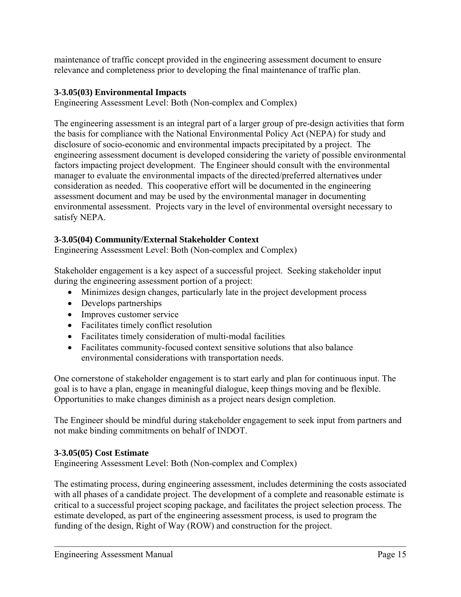maintenance of traffic concept provided in the engineering assessment document to ensure relevance and completeness prior to developing the final maintenance of traffic plan.

#### **3-3.05(03) Environmental Impacts**

Engineering Assessment Level: Both (Non-complex and Complex)

The engineering assessment is an integral part of a larger group of pre-design activities that form the basis for compliance with the National Environmental Policy Act (NEPA) for study and disclosure of socio-economic and environmental impacts precipitated by a project. The engineering assessment document is developed considering the variety of possible environmental factors impacting project development. The Engineer should consult with the environmental manager to evaluate the environmental impacts of the directed/preferred alternatives under consideration as needed. This cooperative effort will be documented in the engineering assessment document and may be used by the environmental manager in documenting environmental assessment. Projects vary in the level of environmental oversight necessary to satisfy NEPA.

#### **3-3.05(04) Community/External Stakeholder Context**

Engineering Assessment Level: Both (Non-complex and Complex)

Stakeholder engagement is a key aspect of a successful project. Seeking stakeholder input during the engineering assessment portion of a project:

- Minimizes design changes, particularly late in the project development process
- Develops partnerships
- Improves customer service
- Facilitates timely conflict resolution
- Facilitates timely consideration of multi-modal facilities
- Facilitates community-focused context sensitive solutions that also balance environmental considerations with transportation needs.

One cornerstone of stakeholder engagement is to start early and plan for continuous input. The goal is to have a plan, engage in meaningful dialogue, keep things moving and be flexible. Opportunities to make changes diminish as a project nears design completion.

The Engineer should be mindful during stakeholder engagement to seek input from partners and not make binding commitments on behalf of INDOT.

#### **3-3.05(05) Cost Estimate**

Engineering Assessment Level: Both (Non-complex and Complex)

The estimating process, during engineering assessment, includes determining the costs associated with all phases of a candidate project. The development of a complete and reasonable estimate is critical to a successful project scoping package, and facilitates the project selection process. The estimate developed, as part of the engineering assessment process, is used to program the funding of the design, Right of Way (ROW) and construction for the project.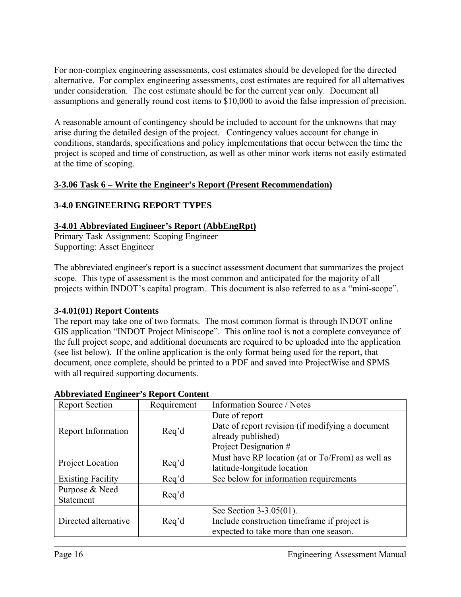For non-complex engineering assessments, cost estimates should be developed for the directed alternative. For complex engineering assessments, cost estimates are required for all alternatives under consideration. The cost estimate should be for the current year only. Document all assumptions and generally round cost items to \$10,000 to avoid the false impression of precision.

A reasonable amount of contingency should be included to account for the unknowns that may arise during the detailed design of the project. Contingency values account for change in conditions, standards, specifications and policy implementations that occur between the time the project is scoped and time of construction, as well as other minor work items not easily estimated at the time of scoping.

#### **3-3.06 Task 6 – Write the Engineer's Report (Present Recommendation)**

#### **3-4.0 ENGINEERING REPORT TYPES**

#### **3-4.01 Abbreviated Engineer's Report (AbbEngRpt)**

Primary Task Assignment: Scoping Engineer Supporting: Asset Engineer

The abbreviated engineer's report is a succinct assessment document that summarizes the project scope. This type of assessment is the most common and anticipated for the majority of all projects within INDOT's capital program. This document is also referred to as a "mini-scope".

#### **3-4.01(01) Report Contents**

The report may take one of two formats. The most common format is through INDOT online GIS application "INDOT Project Miniscope". This online tool is not a complete conveyance of the full project scope, and additional documents are required to be uploaded into the application (see list below). If the online application is the only format being used for the report, that document, once complete, should be printed to a PDF and saved into ProjectWise and SPMS with all required supporting documents.

| <b>Report Section</b>    | Requirement | Information Source / Notes                       |
|--------------------------|-------------|--------------------------------------------------|
|                          |             | Date of report                                   |
|                          |             | Date of report revision (if modifying a document |
| Report Information       | Req'd       | already published)                               |
|                          |             | Project Designation #                            |
|                          |             | Must have RP location (at or To/From) as well as |
| Project Location         | Req'd       | latitude-longitude location                      |
| <b>Existing Facility</b> | Req'd       | See below for information requirements           |
| Purpose & Need           |             |                                                  |
| Statement                | Req'd       |                                                  |
|                          |             | See Section 3-3.05(01).                          |
| Directed alternative     | Req'd       | Include construction timeframe if project is     |
|                          |             | expected to take more than one season.           |

#### **Abbreviated Engineer's Report Content**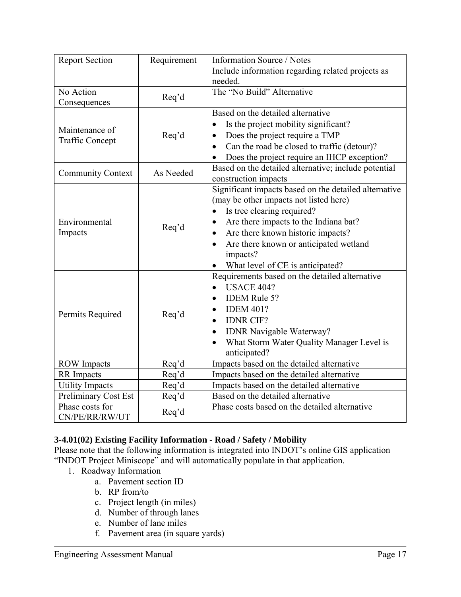| <b>Report Section</b>    | Requirement | Information Source / Notes                            |  |
|--------------------------|-------------|-------------------------------------------------------|--|
|                          |             | Include information regarding related projects as     |  |
|                          |             | needed.                                               |  |
| No Action                | Req'd       | The "No Build" Alternative                            |  |
| Consequences             |             |                                                       |  |
|                          |             | Based on the detailed alternative                     |  |
| Maintenance of           |             | Is the project mobility significant?<br>$\bullet$     |  |
| <b>Traffic Concept</b>   | Req'd       | Does the project require a TMP<br>$\bullet$           |  |
|                          |             | Can the road be closed to traffic (detour)?           |  |
|                          |             | Does the project require an IHCP exception?           |  |
|                          |             | Based on the detailed alternative; include potential  |  |
| <b>Community Context</b> | As Needed   | construction impacts                                  |  |
|                          |             | Significant impacts based on the detailed alternative |  |
|                          |             | (may be other impacts not listed here)                |  |
|                          |             | Is tree clearing required?                            |  |
| Environmental<br>Impacts | Req'd       | Are there impacts to the Indiana bat?                 |  |
|                          |             | Are there known historic impacts?<br>$\bullet$        |  |
|                          |             | Are there known or anticipated wetland                |  |
|                          |             | impacts?                                              |  |
|                          |             | What level of CE is anticipated?                      |  |
|                          |             | Requirements based on the detailed alternative        |  |
|                          |             | <b>USACE 404?</b><br>$\bullet$                        |  |
|                          |             | <b>IDEM Rule 5?</b><br>$\bullet$                      |  |
|                          |             | <b>IDEM 401?</b>                                      |  |
| Permits Required         | Req'd       | <b>IDNR CIF?</b>                                      |  |
|                          |             | IDNR Navigable Waterway?<br>$\bullet$                 |  |
|                          |             | What Storm Water Quality Manager Level is             |  |
|                          |             | anticipated?                                          |  |
| <b>ROW</b> Impacts       | Req'd       | Impacts based on the detailed alternative             |  |
| <b>RR</b> Impacts        | Req'd       | Impacts based on the detailed alternative             |  |
| <b>Utility Impacts</b>   | Req'd       | Impacts based on the detailed alternative             |  |
| Preliminary Cost Est     | Req'd       | Based on the detailed alternative                     |  |
| Phase costs for          |             | Phase costs based on the detailed alternative         |  |
| CN/PE/RR/RW/UT           | Req'd       |                                                       |  |

#### **3-4.01(02) Existing Facility Information - Road / Safety / Mobility**

Please note that the following information is integrated into INDOT's online GIS application "INDOT Project Miniscope" and will automatically populate in that application.

- 1. Roadway Information
	- a. Pavement section ID
	- b. RP from/to
	- c. Project length (in miles)
	- d. Number of through lanes
	- e. Number of lane miles
	- f. Pavement area (in square yards)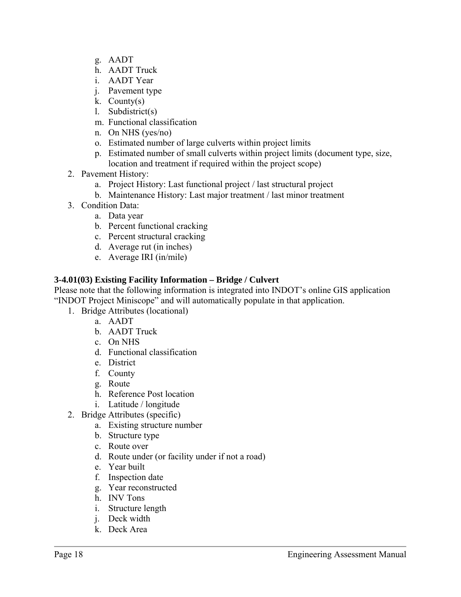- g. AADT
- h. AADT Truck
- i. AADT Year
- j. Pavement type
- k. County(s)
- l. Subdistrict(s)
- m. Functional classification
- n. On NHS (yes/no)
- o. Estimated number of large culverts within project limits
- p. Estimated number of small culverts within project limits (document type, size, location and treatment if required within the project scope)
- 2. Pavement History:
	- a. Project History: Last functional project / last structural project
	- b. Maintenance History: Last major treatment / last minor treatment
- 3. Condition Data:
	- a. Data year
	- b. Percent functional cracking
	- c. Percent structural cracking
	- d. Average rut (in inches)
	- e. Average IRI (in/mile)

#### **3-4.01(03) Existing Facility Information – Bridge / Culvert**

Please note that the following information is integrated into INDOT's online GIS application "INDOT Project Miniscope" and will automatically populate in that application.

- 1. Bridge Attributes (locational)
	- a. AADT
	- b. AADT Truck
	- c. On NHS
	- d. Functional classification
	- e. District
	- f. County
	- g. Route
	- h. Reference Post location
	- i. Latitude / longitude
- 2. Bridge Attributes (specific)
	- a. Existing structure number
	- b. Structure type
	- c. Route over
	- d. Route under (or facility under if not a road)
	- e. Year built
	- f. Inspection date
	- g. Year reconstructed
	- h. INV Tons
	- i. Structure length
	- j. Deck width
	- k. Deck Area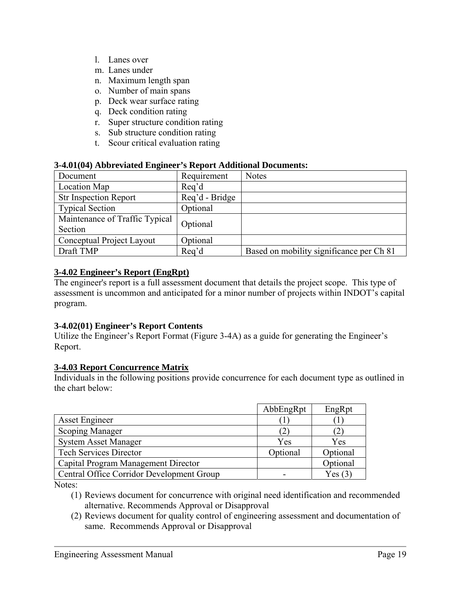- l. Lanes over
- m. Lanes under
- n. Maximum length span
- o. Number of main spans
- p. Deck wear surface rating
- q. Deck condition rating
- r. Super structure condition rating
- s. Sub structure condition rating
- t. Scour critical evaluation rating

#### **3-4.01(04) Abbreviated Engineer's Report Additional Documents:**

| Document                       | Requirement    | <b>Notes</b>                             |
|--------------------------------|----------------|------------------------------------------|
| Location Map                   | Req'd          |                                          |
| <b>Str Inspection Report</b>   | Req'd - Bridge |                                          |
| <b>Typical Section</b>         | Optional       |                                          |
| Maintenance of Traffic Typical | Optional       |                                          |
| Section                        |                |                                          |
| Conceptual Project Layout      | Optional       |                                          |
| Draft TMP                      | Req'd          | Based on mobility significance per Ch 81 |

#### **3-4.02 Engineer's Report (EngRpt)**

The engineer's report is a full assessment document that details the project scope. This type of assessment is uncommon and anticipated for a minor number of projects within INDOT's capital program.

#### **3-4.02(01) Engineer's Report Contents**

Utilize the Engineer's Report Format (Figure 3-4A) as a guide for generating the Engineer's Report.

#### **3-4.03 Report Concurrence Matrix**

Individuals in the following positions provide concurrence for each document type as outlined in the chart below:

|                                           | AbbEngRpt | EngRpt      |
|-------------------------------------------|-----------|-------------|
| <b>Asset Engineer</b>                     |           |             |
| <b>Scoping Manager</b>                    | L         | $2^{\circ}$ |
| <b>System Asset Manager</b>               | Yes       | Yes         |
| <b>Tech Services Director</b>             | Optional  | Optional    |
| Capital Program Management Director       |           | Optional    |
| Central Office Corridor Development Group |           | Yes(3)      |

Notes:

- (1) Reviews document for concurrence with original need identification and recommended alternative. Recommends Approval or Disapproval
- (2) Reviews document for quality control of engineering assessment and documentation of same. Recommends Approval or Disapproval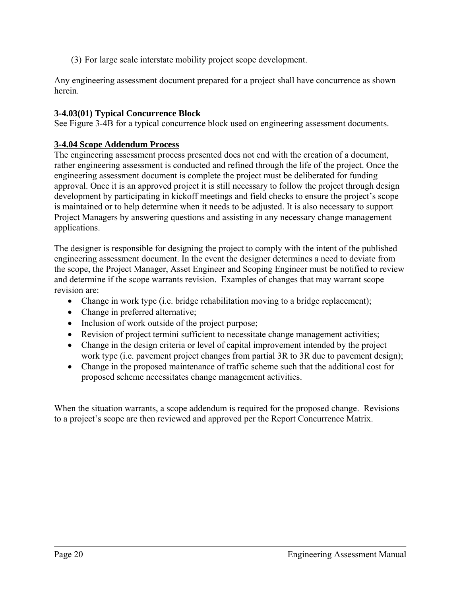(3) For large scale interstate mobility project scope development.

Any engineering assessment document prepared for a project shall have concurrence as shown herein.

#### **3-4.03(01) Typical Concurrence Block**

See Figure 3-4B for a typical concurrence block used on engineering assessment documents.

#### **3-4.04 Scope Addendum Process**

The engineering assessment process presented does not end with the creation of a document, rather engineering assessment is conducted and refined through the life of the project. Once the engineering assessment document is complete the project must be deliberated for funding approval. Once it is an approved project it is still necessary to follow the project through design development by participating in kickoff meetings and field checks to ensure the project's scope is maintained or to help determine when it needs to be adjusted. It is also necessary to support Project Managers by answering questions and assisting in any necessary change management applications.

The designer is responsible for designing the project to comply with the intent of the published engineering assessment document. In the event the designer determines a need to deviate from the scope, the Project Manager, Asset Engineer and Scoping Engineer must be notified to review and determine if the scope warrants revision. Examples of changes that may warrant scope revision are:

- Change in work type (i.e. bridge rehabilitation moving to a bridge replacement);
- Change in preferred alternative;
- Inclusion of work outside of the project purpose;
- Revision of project termini sufficient to necessitate change management activities;
- Change in the design criteria or level of capital improvement intended by the project work type (i.e. pavement project changes from partial 3R to 3R due to pavement design);
- Change in the proposed maintenance of traffic scheme such that the additional cost for proposed scheme necessitates change management activities.

When the situation warrants, a scope addendum is required for the proposed change. Revisions to a project's scope are then reviewed and approved per the Report Concurrence Matrix.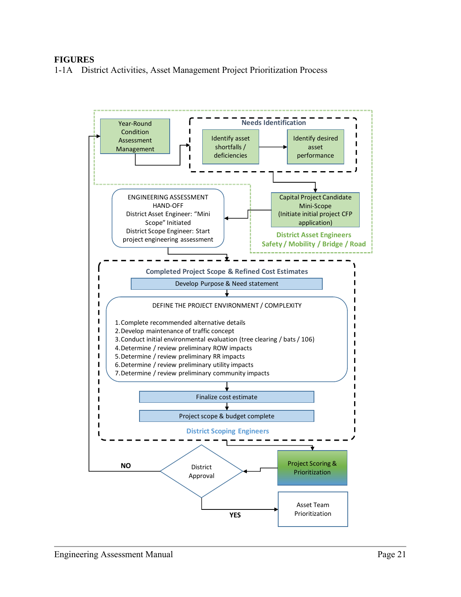#### **FIGURES**

1-1A District Activities, Asset Management Project Prioritization Process

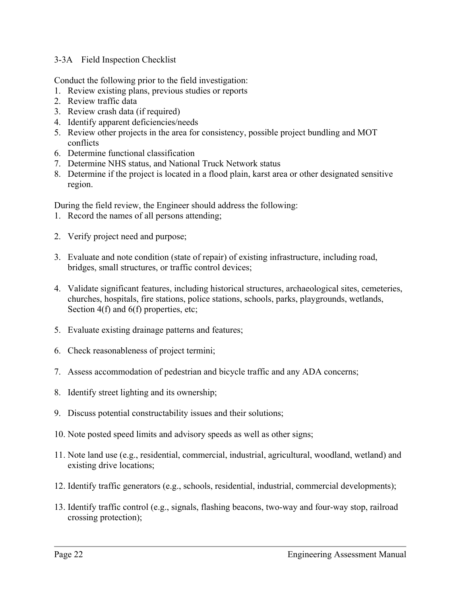#### 3-3A Field Inspection Checklist

Conduct the following prior to the field investigation:

- 1. Review existing plans, previous studies or reports
- 2. Review traffic data
- 3. Review crash data (if required)
- 4. Identify apparent deficiencies/needs
- 5. Review other projects in the area for consistency, possible project bundling and MOT conflicts
- 6. Determine functional classification
- 7. Determine NHS status, and National Truck Network status
- 8. Determine if the project is located in a flood plain, karst area or other designated sensitive region.

During the field review, the Engineer should address the following:

- 1. Record the names of all persons attending;
- 2. Verify project need and purpose;
- 3. Evaluate and note condition (state of repair) of existing infrastructure, including road, bridges, small structures, or traffic control devices;
- 4. Validate significant features, including historical structures, archaeological sites, cemeteries, churches, hospitals, fire stations, police stations, schools, parks, playgrounds, wetlands, Section 4(f) and 6(f) properties, etc;
- 5. Evaluate existing drainage patterns and features;
- 6. Check reasonableness of project termini;
- 7. Assess accommodation of pedestrian and bicycle traffic and any ADA concerns;
- 8. Identify street lighting and its ownership;
- 9. Discuss potential constructability issues and their solutions;
- 10. Note posted speed limits and advisory speeds as well as other signs;
- 11. Note land use (e.g., residential, commercial, industrial, agricultural, woodland, wetland) and existing drive locations;
- 12. Identify traffic generators (e.g., schools, residential, industrial, commercial developments);
- 13. Identify traffic control (e.g., signals, flashing beacons, two-way and four-way stop, railroad crossing protection);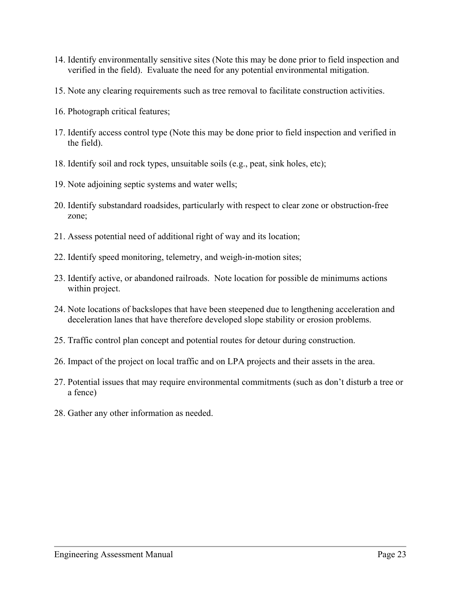- 14. Identify environmentally sensitive sites (Note this may be done prior to field inspection and verified in the field). Evaluate the need for any potential environmental mitigation.
- 15. Note any clearing requirements such as tree removal to facilitate construction activities.
- 16. Photograph critical features;
- 17. Identify access control type (Note this may be done prior to field inspection and verified in the field).
- 18. Identify soil and rock types, unsuitable soils (e.g., peat, sink holes, etc);
- 19. Note adjoining septic systems and water wells;
- 20. Identify substandard roadsides, particularly with respect to clear zone or obstruction-free zone;
- 21. Assess potential need of additional right of way and its location;
- 22. Identify speed monitoring, telemetry, and weigh-in-motion sites;
- 23. Identify active, or abandoned railroads. Note location for possible de minimums actions within project.
- 24. Note locations of backslopes that have been steepened due to lengthening acceleration and deceleration lanes that have therefore developed slope stability or erosion problems.
- 25. Traffic control plan concept and potential routes for detour during construction.
- 26. Impact of the project on local traffic and on LPA projects and their assets in the area.
- 27. Potential issues that may require environmental commitments (such as don't disturb a tree or a fence)
- 28. Gather any other information as needed.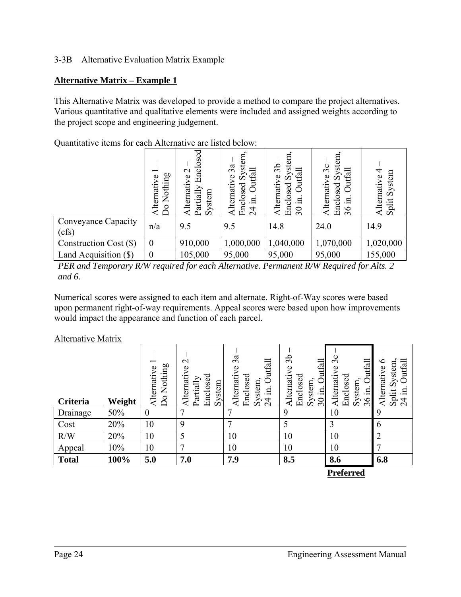#### 3-3B Alternative Evaluation Matrix Example

#### **Alternative Matrix – Example 1**

This Alternative Matrix was developed to provide a method to compare the project alternatives. Various quantitative and qualitative elements were included and assigned weights according to the project scope and engineering judgement.

Quantitative items for each Alternative are listed below:

|                              | Nothing<br>Φ<br><b>Iternati</b><br>$\overline{\mathsf{O}}$ | Enclosed<br>$\mathbf{\sim}$<br>lternative<br>artially<br>System | stem<br>3a<br>Outfall<br>వ<br>$\circ$<br>Alternati<br>Enclosed<br>.日<br>$\overline{24}$ | stem<br>3 <sub>b</sub><br>Outfall<br>ζŠ<br>ye<br>Enclosed<br>Alternati<br>르.<br>$\overline{\mathcal{E}}$ | еu<br>$\ddot{\mathbf{g}}$<br>$\mathfrak{S}$<br>Outfall<br>$\bullet$<br>Ó<br>osed<br>Alternati<br>크.<br>Encl<br>36 | 4<br>System<br>Alternative<br>Split |
|------------------------------|------------------------------------------------------------|-----------------------------------------------------------------|-----------------------------------------------------------------------------------------|----------------------------------------------------------------------------------------------------------|-------------------------------------------------------------------------------------------------------------------|-------------------------------------|
| Conveyance Capacity<br>(cfs) | n/a                                                        | 9.5                                                             | 9.5                                                                                     | 14.8                                                                                                     | 24.0                                                                                                              | 14.9                                |
| Construction Cost (\$)       | $\boldsymbol{0}$                                           | 910,000                                                         | 1,000,000                                                                               | 1,040,000                                                                                                | 1,070,000                                                                                                         | 1,020,000                           |
| Land Acquisition (\$)        | $\overline{0}$                                             | 105,000                                                         | 95,000                                                                                  | 95,000                                                                                                   | 95,000                                                                                                            | 155,000                             |

*PER and Temporary R/W required for each Alternative. Permanent R/W Required for Alts. 2 and 6.* 

Numerical scores were assigned to each item and alternate. Right-of-Way scores were based upon permanent right-of-way requirements. Appeal scores were based upon how improvements would impact the appearance and function of each parcel.

#### Alternative Matrix

| <b>Criteria</b> | Weight | Nothing<br>Alternative<br>$\overline{D}$ | $\mathbf{\sim}$<br>Alternative<br>Enclosed<br>Partially<br>System | 3a<br>Outfall<br>Alternative<br>Enclosed<br>System,<br>크.<br>4<br>$\sim$ | 3b<br>Outfall<br>Φ<br>Alternativ<br>Enclosed<br>System,<br>.н.<br>$\overline{\mathbf{30}}$ | $\Im c$<br>Outfall<br>Alternative<br>Enclosed<br>System <sub>.</sub><br>$\Xi$<br>36 | ७<br>utfal<br>System<br>Alternative<br>.,<br>Split<br>4 |
|-----------------|--------|------------------------------------------|-------------------------------------------------------------------|--------------------------------------------------------------------------|--------------------------------------------------------------------------------------------|-------------------------------------------------------------------------------------|---------------------------------------------------------|
| Drainage        | 50%    | $\boldsymbol{0}$                         | ⇁                                                                 |                                                                          | 9                                                                                          | 10                                                                                  | 9                                                       |
| Cost            | 20%    | 10                                       | 9                                                                 | ┑                                                                        |                                                                                            | 3                                                                                   | 6                                                       |
| R/W             | 20%    | 10                                       | 5                                                                 | 10                                                                       | 10                                                                                         | 10                                                                                  | $\overline{2}$                                          |
| Appeal          | 10%    | 10                                       | 7                                                                 | 10                                                                       | 10                                                                                         | 10                                                                                  | ┑                                                       |
| <b>Total</b>    | 100%   | 5.0                                      | 7.0                                                               | 7.9                                                                      | 8.5                                                                                        | 8.6                                                                                 | 6.8                                                     |
|                 |        |                                          |                                                                   |                                                                          |                                                                                            | $\bullet$<br>$\sim$                                                                 |                                                         |

**Preferred**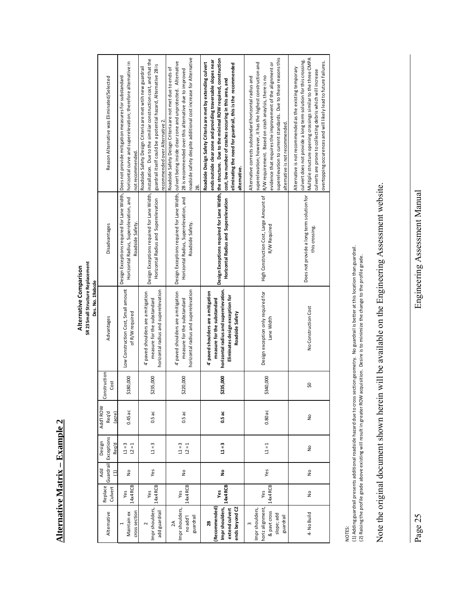**Alternative Matrix - Example 2 Alternative Matrix – Example 2**

## Alternative Comparison **Alternative Comparison**

SR 23 Small Structure Replacement<br>Des. No. 19abcde **SR 23 Small Structure Replacement**

|                  | Design Exceptions required for Lane Width, linstallation . Due to the similiar construction cost, and that the<br>horizontal curve and superelevation; therefore alternative in<br>Roadside Safety Design Criteria are met wtih new guardrail<br>Design Exceptions required for Lane Width, Does not provide mitigation measures for substandard<br>Reason Alternative was Eliminated/Selected<br>not recommended.<br>Horizontal Radius, Superelevation, and<br>Roadside Safety.<br>Disadvantages |                                                                                                                              | guardrail itself could be a potential hazard, Alternative 2B is<br>recommended over Alternative 2. | roadside safety despite additional cost increase for Alternative<br>Design Exceptions required for Lane Width, culvert being inside clear zone and unprotected. Alternative<br>Roadside Safety Deisgn Criteria are not met due to ends of<br>2B is recommended over this alternative due to improved<br>28. | Design Exceptions required for Lane Width, the structure. Due to the minimal ROW required, construction<br>ends outside clear zone and providing traversable slopes near<br>Roadside Design Safety Criteria are met by extending culvert<br>eliminating the need for guardrail, this is the recommended<br>cost, low number of crashes occuring in this area, and<br>alternative. | superelevation to current standards. Due to these reasons this<br>superelevation; however, it has the highest construction and<br>evidence that requires the improvement of the alignment or<br>R/W requirement. Based on crash anaylsis, there is no<br>Alternative corrects substandard horizontal radius and<br>alternative is not recommended. | Multiple structure opening crossings similar to the three CMPA<br>culvert does not provide a long term solution for this crossing.<br>overtopping occurences and will likely lead to future failures.<br>Alternative is not recommended as the existing temporary<br>culverts are prone to collecting debris which will increase |
|------------------|---------------------------------------------------------------------------------------------------------------------------------------------------------------------------------------------------------------------------------------------------------------------------------------------------------------------------------------------------------------------------------------------------------------------------------------------------------------------------------------------------|------------------------------------------------------------------------------------------------------------------------------|----------------------------------------------------------------------------------------------------|-------------------------------------------------------------------------------------------------------------------------------------------------------------------------------------------------------------------------------------------------------------------------------------------------------------|-----------------------------------------------------------------------------------------------------------------------------------------------------------------------------------------------------------------------------------------------------------------------------------------------------------------------------------------------------------------------------------|----------------------------------------------------------------------------------------------------------------------------------------------------------------------------------------------------------------------------------------------------------------------------------------------------------------------------------------------------|----------------------------------------------------------------------------------------------------------------------------------------------------------------------------------------------------------------------------------------------------------------------------------------------------------------------------------|
|                  |                                                                                                                                                                                                                                                                                                                                                                                                                                                                                                   | Horizontal Radius and Superelevation                                                                                         | Horizontal Radius, Superelevation, and<br>Roadside Safety.                                         | Horizontal Radius and Superelevation                                                                                                                                                                                                                                                                        | High Construction Cost, Large Amount of<br>R/W Required                                                                                                                                                                                                                                                                                                                           | Does not provide a long term solution for<br>this crossing.                                                                                                                                                                                                                                                                                        |                                                                                                                                                                                                                                                                                                                                  |
| Des. No. 19abcde | Advantages                                                                                                                                                                                                                                                                                                                                                                                                                                                                                        | Low Construction Cost, Small amount<br>4' paved shoulders are a mitigation<br>measure for the substandard<br>of R/W required | horizontal radius and superelevation                                                               | horizontal radius and superelevation<br>4' paved shoulders are a mitigation<br>measure for the substandard                                                                                                                                                                                                  | horizontal radius and superelevation.<br>4 paved shoulders are a mitigation<br>Eliminates design exception for<br>measure for the substandard<br>Roadside Safety                                                                                                                                                                                                                  | Design exception only required for<br>Lane Width                                                                                                                                                                                                                                                                                                   | No Construction Cost                                                                                                                                                                                                                                                                                                             |
|                  | Construction<br>Cost                                                                                                                                                                                                                                                                                                                                                                                                                                                                              | \$180,000                                                                                                                    | \$235,000                                                                                          | \$220,000                                                                                                                                                                                                                                                                                                   | \$235,000                                                                                                                                                                                                                                                                                                                                                                         | \$340,000                                                                                                                                                                                                                                                                                                                                          | SO,                                                                                                                                                                                                                                                                                                                              |
|                  | Add'l ROW<br>Req'd<br>(acre)                                                                                                                                                                                                                                                                                                                                                                                                                                                                      | $0.45$ ac                                                                                                                    | $0.5$ ac                                                                                           | 0.5ac                                                                                                                                                                                                                                                                                                       | 0.5ac                                                                                                                                                                                                                                                                                                                                                                             | $0.80$ ac                                                                                                                                                                                                                                                                                                                                          | $\frac{1}{2}$                                                                                                                                                                                                                                                                                                                    |
|                  | Exceptions<br>Design<br>Reg'd                                                                                                                                                                                                                                                                                                                                                                                                                                                                     | $11 = 3$<br>$L = 1$                                                                                                          | $11 = 3$                                                                                           | $L = 3$<br>$L = 1$                                                                                                                                                                                                                                                                                          | $L = 3$                                                                                                                                                                                                                                                                                                                                                                           | $L = 1$                                                                                                                                                                                                                                                                                                                                            | $\frac{1}{2}$                                                                                                                                                                                                                                                                                                                    |
|                  | Guardrail<br>Add<br>Ξ                                                                                                                                                                                                                                                                                                                                                                                                                                                                             | $\frac{1}{2}$                                                                                                                | Yes                                                                                                | $\frac{1}{2}$                                                                                                                                                                                                                                                                                               | ş                                                                                                                                                                                                                                                                                                                                                                                 | Yes                                                                                                                                                                                                                                                                                                                                                | $\frac{1}{2}$                                                                                                                                                                                                                                                                                                                    |
|                  | Replace<br>Culvert                                                                                                                                                                                                                                                                                                                                                                                                                                                                                | 14x4 RCB<br>Yes                                                                                                              | 14x4 RCB<br>Yes                                                                                    | 14x4 RCB<br>Yes                                                                                                                                                                                                                                                                                             | 14x4 RCB<br>Yes                                                                                                                                                                                                                                                                                                                                                                   | 14x4 RCB<br>Yes                                                                                                                                                                                                                                                                                                                                    | $\frac{1}{2}$                                                                                                                                                                                                                                                                                                                    |
|                  | Alternative                                                                                                                                                                                                                                                                                                                                                                                                                                                                                       | cross section<br>Maintain ex                                                                                                 | mpr shoulders,<br>add guardrail                                                                    | Impr shoulders,<br>guardrail<br>no add'l<br>$\lambda$                                                                                                                                                                                                                                                       | Impr shoulders,<br>Recommended<br>ends beyond CZ<br>extend culvert<br>28                                                                                                                                                                                                                                                                                                          | horiz alignment,<br>mpr shoulders,<br>& pavt cross<br>slope; add<br>guardrail<br>$\mathsf{c}$                                                                                                                                                                                                                                                      | 4- No Build                                                                                                                                                                                                                                                                                                                      |
|                  |                                                                                                                                                                                                                                                                                                                                                                                                                                                                                                   |                                                                                                                              |                                                                                                    |                                                                                                                                                                                                                                                                                                             |                                                                                                                                                                                                                                                                                                                                                                                   |                                                                                                                                                                                                                                                                                                                                                    |                                                                                                                                                                                                                                                                                                                                  |

NOTES:

(1) Adding guardrail presents additional roadside hazard due to cross section geometry. No guardrail is better at this location than guardrail.<br>(2) Raising the profile grade above existing will result in greater ROW acquis (1) Adding guardrail presents additional roadside hazard due to cross section geometry. No guardrail is better at this location than guardrail. (2) Raising the profile grade above existing will result in greater ROW acquisition. Desire is to minimize the change to the profile grade.

# available on the Engineering Assessment website. Note the original document shown herein will be available on the Engineering Assessment website. Note the original document shown herein will be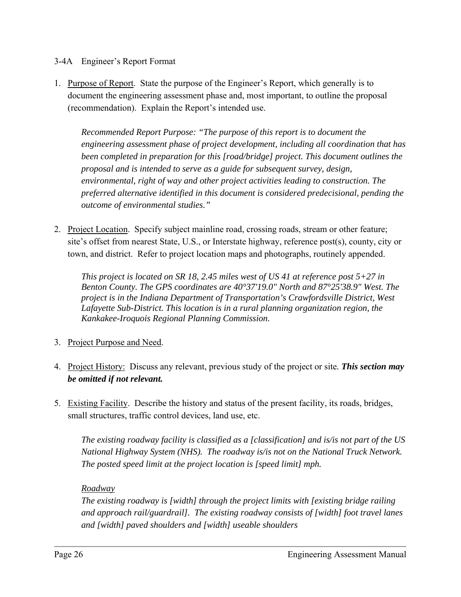#### 3-4A Engineer's Report Format

1. Purpose of Report. State the purpose of the Engineer's Report, which generally is to document the engineering assessment phase and, most important, to outline the proposal (recommendation). Explain the Report's intended use.

*Recommended Report Purpose: "The purpose of this report is to document the engineering assessment phase of project development, including all coordination that has been completed in preparation for this [road/bridge] project. This document outlines the proposal and is intended to serve as a guide for subsequent survey, design, environmental, right of way and other project activities leading to construction. The preferred alternative identified in this document is considered predecisional, pending the outcome of environmental studies."* 

2. Project Location. Specify subject mainline road, crossing roads, stream or other feature; site's offset from nearest State, U.S., or Interstate highway, reference post(s), county, city or town, and district. Refer to project location maps and photographs, routinely appended.

*This project is located on SR 18, 2.45 miles west of US 41 at reference post 5+27 in Benton County. The GPS coordinates are 40°37'19.0" North and 87°25'38.9" West. The project is in the Indiana Department of Transportation's Crawfordsville District, West Lafayette Sub-District. This location is in a rural planning organization region, the Kankakee-Iroquois Regional Planning Commission.* 

- 3. Project Purpose and Need.
- 4. Project History: Discuss any relevant, previous study of the project or site*. This section may be omitted if not relevant.*
- 5. Existing Facility. Describe the history and status of the present facility, its roads, bridges, small structures, traffic control devices, land use, etc.

*The existing roadway facility is classified as a [classification] and is/is not part of the US National Highway System (NHS). The roadway is/is not on the National Truck Network. The posted speed limit at the project location is [speed limit] mph.* 

#### *Roadway*

*The existing roadway is [width] through the project limits with [existing bridge railing and approach rail/guardrail]. The existing roadway consists of [width] foot travel lanes and [width] paved shoulders and [width] useable shoulders*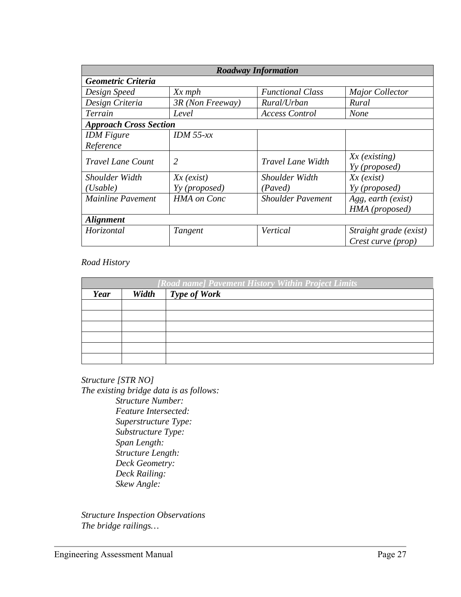| <b>Roadway Information</b>    |                    |                          |                        |  |  |
|-------------------------------|--------------------|--------------------------|------------------------|--|--|
| Geometric Criteria            |                    |                          |                        |  |  |
| Design Speed                  | $Xx$ mph           | <b>Functional Class</b>  | <b>Major Collector</b> |  |  |
| Design Criteria               | 3R (Non Freeway)   | Rural/Urban              | Rural                  |  |  |
| Terrain                       | Level              | <b>Access Control</b>    | <b>None</b>            |  |  |
| <b>Approach Cross Section</b> |                    |                          |                        |  |  |
| <b>IDM</b> Figure             | IDM $55$ -xx       |                          |                        |  |  |
| Reference                     |                    |                          |                        |  |  |
| <b>Travel Lane Count</b>      | 2                  | <b>Travel Lane Width</b> | $Xx$ (existing)        |  |  |
|                               |                    |                          | Yy (proposed)          |  |  |
| Shoulder Width                | $Xx$ (exist)       | Shoulder Width           | $Xx$ (exist)           |  |  |
| (Usable)                      | Yy (proposed)      | (Paved)                  | Yy (proposed)          |  |  |
| <b>Mainline Pavement</b>      | <b>HMA</b> on Conc | <b>Shoulder Pavement</b> | Agg, earth (exist)     |  |  |
|                               |                    |                          | HMA (proposed)         |  |  |
| <b>Alignment</b>              |                    |                          |                        |  |  |
| Horizontal                    | Tangent            | Vertical                 | Straight grade (exist) |  |  |
|                               |                    |                          | Crest curve (prop)     |  |  |

#### *Road History*

| [Road name] Pavement History Within Project Limits |       |                     |  |  |
|----------------------------------------------------|-------|---------------------|--|--|
| Year                                               | Width | <b>Type of Work</b> |  |  |
|                                                    |       |                     |  |  |
|                                                    |       |                     |  |  |
|                                                    |       |                     |  |  |
|                                                    |       |                     |  |  |
|                                                    |       |                     |  |  |
|                                                    |       |                     |  |  |

*Structure [STR NO] The existing bridge data is as follows: Structure Number: Feature Intersected: Superstructure Type: Substructure Type: Span Length: Structure Length: Deck Geometry: Deck Railing: Skew Angle:* 

*Structure Inspection Observations The bridge railings…*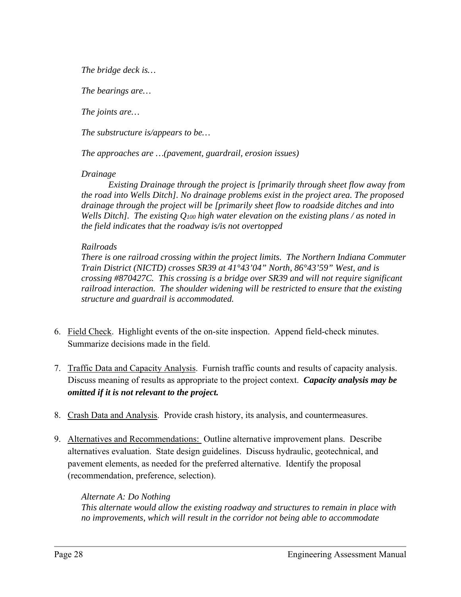*The bridge deck is…* 

*The bearings are…* 

*The joints are…* 

*The substructure is/appears to be…* 

*The approaches are …(pavement, guardrail, erosion issues)* 

#### *Drainage*

 *Existing Drainage through the project is [primarily through sheet flow away from the road into Wells Ditch]. No drainage problems exist in the project area. The proposed drainage through the project will be [primarily sheet flow to roadside ditches and into Wells Ditch]. The existing Q100 high water elevation on the existing plans / as noted in the field indicates that the roadway is/is not overtopped* 

#### *Railroads*

*There is one railroad crossing within the project limits. The Northern Indiana Commuter Train District (NICTD) crosses SR39 at 41°43'04" North, 86°43'59" West, and is crossing #870427C. This crossing is a bridge over SR39 and will not require significant railroad interaction. The shoulder widening will be restricted to ensure that the existing structure and guardrail is accommodated.* 

- 6. Field Check. Highlight events of the on-site inspection. Append field-check minutes. Summarize decisions made in the field.
- 7. Traffic Data and Capacity Analysis. Furnish traffic counts and results of capacity analysis. Discuss meaning of results as appropriate to the project context. *Capacity analysis may be omitted if it is not relevant to the project.*
- 8. Crash Data and Analysis. Provide crash history, its analysis, and countermeasures.
- 9. Alternatives and Recommendations: Outline alternative improvement plans. Describe alternatives evaluation. State design guidelines. Discuss hydraulic, geotechnical, and pavement elements, as needed for the preferred alternative. Identify the proposal (recommendation, preference, selection).

*Alternate A: Do Nothing This alternate would allow the existing roadway and structures to remain in place with no improvements, which will result in the corridor not being able to accommodate*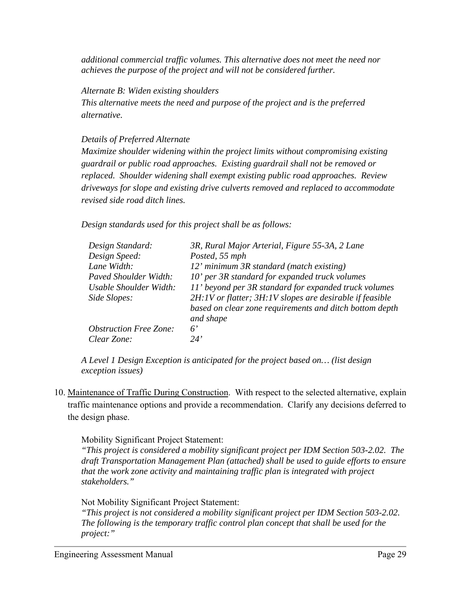*additional commercial traffic volumes. This alternative does not meet the need nor achieves the purpose of the project and will not be considered further.* 

*Alternate B: Widen existing shoulders* 

*This alternative meets the need and purpose of the project and is the preferred alternative.* 

#### *Details of Preferred Alternate*

*Maximize shoulder widening within the project limits without compromising existing guardrail or public road approaches. Existing guardrail shall not be removed or replaced. Shoulder widening shall exempt existing public road approaches. Review driveways for slope and existing drive culverts removed and replaced to accommodate revised side road ditch lines.* 

*Design standards used for this project shall be as follows:* 

| Design Standard:              | 3R, Rural Major Arterial, Figure 55-3A, 2 Lane                       |
|-------------------------------|----------------------------------------------------------------------|
| Design Speed:                 | Posted, 55 mph                                                       |
| Lane Width:                   | 12' minimum 3R standard (match existing)                             |
| Paved Shoulder Width:         | 10' per 3R standard for expanded truck volumes                       |
| Usable Shoulder Width:        | 11' beyond per 3R standard for expanded truck volumes                |
| Side Slopes:                  | 2H:1V or flatter; 3H:1V slopes are desirable if feasible             |
|                               | based on clear zone requirements and ditch bottom depth<br>and shape |
| <b>Obstruction Free Zone:</b> | 6'                                                                   |
| Clear Zone:                   | 24'                                                                  |

*A Level 1 Design Exception is anticipated for the project based on… (list design exception issues)* 

10. Maintenance of Traffic During Construction. With respect to the selected alternative, explain traffic maintenance options and provide a recommendation. Clarify any decisions deferred to the design phase.

Mobility Significant Project Statement:

*"This project is considered a mobility significant project per IDM Section 503-2.02. The draft Transportation Management Plan (attached) shall be used to guide efforts to ensure that the work zone activity and maintaining traffic plan is integrated with project stakeholders."* 

Not Mobility Significant Project Statement:

*"This project is not considered a mobility significant project per IDM Section 503-2.02. The following is the temporary traffic control plan concept that shall be used for the project:"*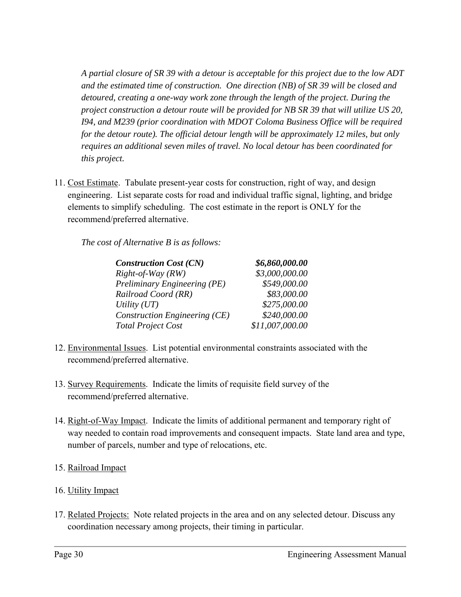*A partial closure of SR 39 with a detour is acceptable for this project due to the low ADT and the estimated time of construction. One direction (NB) of SR 39 will be closed and detoured, creating a one-way work zone through the length of the project. During the project construction a detour route will be provided for NB SR 39 that will utilize US 20, I94, and M239 (prior coordination with MDOT Coloma Business Office will be required for the detour route). The official detour length will be approximately 12 miles, but only requires an additional seven miles of travel. No local detour has been coordinated for this project.* 

11. Cost Estimate. Tabulate present-year costs for construction, right of way, and design engineering. List separate costs for road and individual traffic signal, lighting, and bridge elements to simplify scheduling. The cost estimate in the report is ONLY for the recommend/preferred alternative.

*The cost of Alternative B is as follows:* 

| <b>Construction Cost (CN)</b> | \$6,860,000.00  |
|-------------------------------|-----------------|
| Right-of-Way (RW)             | \$3,000,000.00  |
| Preliminary Engineering (PE)  | \$549,000.00    |
| Railroad Coord (RR)           | \$83,000.00     |
| Utility $(UT)$                | \$275,000.00    |
| Construction Engineering (CE) | \$240,000.00    |
| <b>Total Project Cost</b>     | \$11,007,000.00 |

- 12. Environmental Issues. List potential environmental constraints associated with the recommend/preferred alternative.
- 13. Survey Requirements. Indicate the limits of requisite field survey of the recommend/preferred alternative.
- 14. Right-of-Way Impact. Indicate the limits of additional permanent and temporary right of way needed to contain road improvements and consequent impacts. State land area and type, number of parcels, number and type of relocations, etc.
- 15. Railroad Impact
- 16. Utility Impact
- 17. Related Projects: Note related projects in the area and on any selected detour. Discuss any coordination necessary among projects, their timing in particular.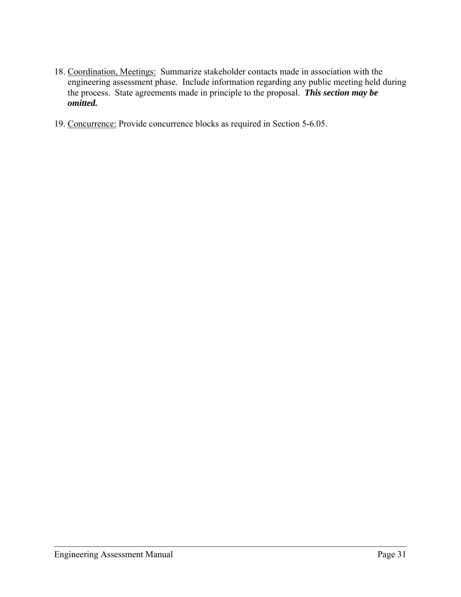- 18. Coordination, Meetings: Summarize stakeholder contacts made in association with the engineering assessment phase. Include information regarding any public meeting held during the process. State agreements made in principle to the proposal. *This section may be omitted.*
- 19. Concurrence: Provide concurrence blocks as required in Section 5-6.05.